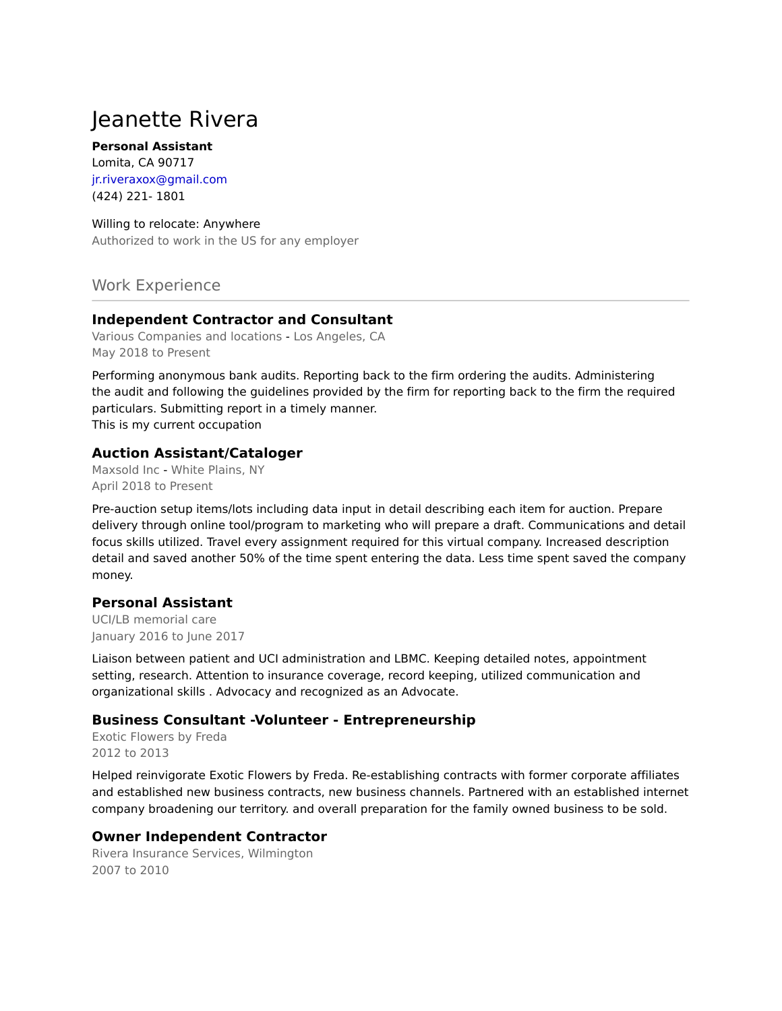# Jeanette Rivera

#### **Personal Assistant**

Lomita, CA 90717 jr.riveraxox@gmail.com (424) 221- 1801

#### Willing to relocate: Anywhere

Authorized to work in the US for any employer

# Work Experience

## **Independent Contractor and Consultant**

Various Companies and locations - Los Angeles, CA May 2018 to Present

Performing anonymous bank audits. Reporting back to the firm ordering the audits. Administering the audit and following the guidelines provided by the firm for reporting back to the firm the required particulars. Submitting report in a timely manner.

This is my current occupation

#### **Auction Assistant/Cataloger**

Maxsold Inc - White Plains, NY April 2018 to Present

Pre-auction setup items/lots including data input in detail describing each item for auction. Prepare delivery through online tool/program to marketing who will prepare a draft. Communications and detail focus skills utilized. Travel every assignment required for this virtual company. Increased description detail and saved another 50% of the time spent entering the data. Less time spent saved the company money.

## **Personal Assistant**

UCI/LB memorial care January 2016 to June 2017

Liaison between patient and UCI administration and LBMC. Keeping detailed notes, appointment setting, research. Attention to insurance coverage, record keeping, utilized communication and organizational skills . Advocacy and recognized as an Advocate.

## **Business Consultant -Volunteer - Entrepreneurship**

Exotic Flowers by Freda 2012 to 2013

Helped reinvigorate Exotic Flowers by Freda. Re-establishing contracts with former corporate affiliates and established new business contracts, new business channels. Partnered with an established internet company broadening our territory. and overall preparation for the family owned business to be sold.

## **Owner Independent Contractor**

Rivera Insurance Services, Wilmington 2007 to 2010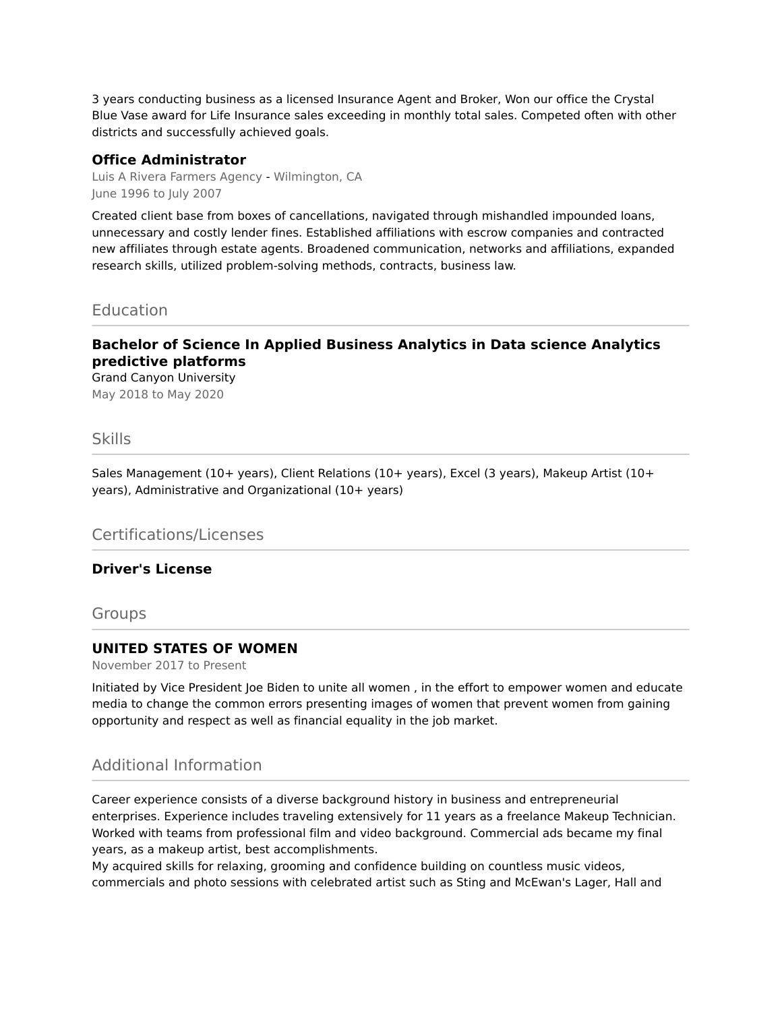3 years conducting business as a licensed Insurance Agent and Broker, Won our office the Crystal Blue Vase award for Life Insurance sales exceeding in monthly total sales. Competed often with other districts and successfully achieved goals.

#### **Office Administrator**

Luis A Rivera Farmers Agency - Wilmington, CA June 1996 to July 2007

Created client base from boxes of cancellations, navigated through mishandled impounded loans, unnecessary and costly lender fines. Established affiliations with escrow companies and contracted new affiliates through estate agents. Broadened communication, networks and affiliations, expanded research skills, utilized problem-solving methods, contracts, business law.

Education

## **Bachelor of Science In Applied Business Analytics in Data science Analytics predictive platforms**

Grand Canyon University May 2018 to May 2020

#### Skills

Sales Management (10+ years), Client Relations (10+ years), Excel (3 years), Makeup Artist (10+ years), Administrative and Organizational (10+ years)

Certifications/Licenses

#### **Driver's License**

Groups

## **UNITED STATES OF WOMEN**

November 2017 to Present

Initiated by Vice President Joe Biden to unite all women , in the effort to empower women and educate media to change the common errors presenting images of women that prevent women from gaining opportunity and respect as well as financial equality in the job market.

# Additional Information

Career experience consists of a diverse background history in business and entrepreneurial enterprises. Experience includes traveling extensively for 11 years as a freelance Makeup Technician. Worked with teams from professional film and video background. Commercial ads became my final years, as a makeup artist, best accomplishments.

My acquired skills for relaxing, grooming and confidence building on countless music videos, commercials and photo sessions with celebrated artist such as Sting and McEwan's Lager, Hall and